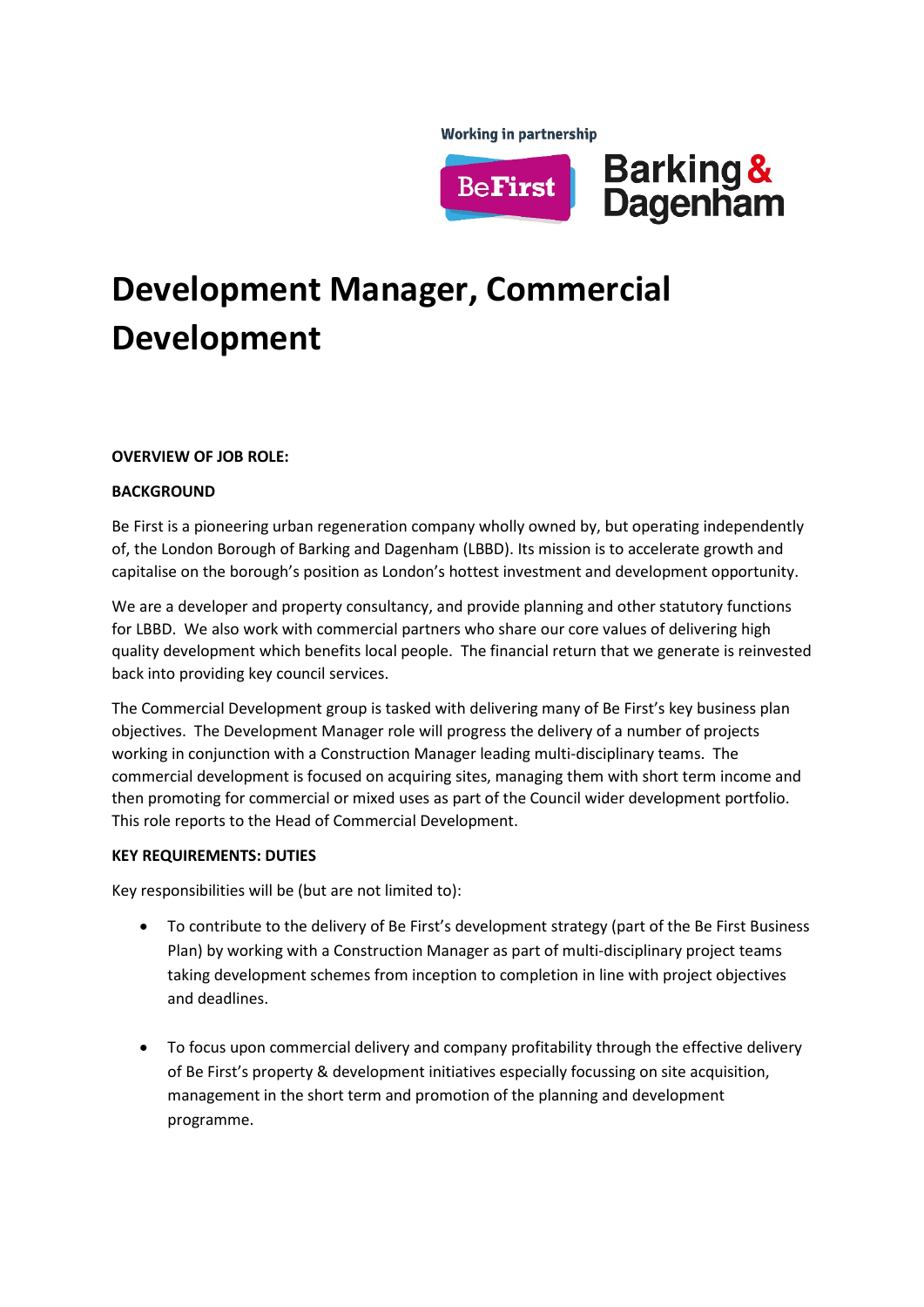**Working in partnership** 



# **Development Manager, Commercial Development**

## **OVERVIEW OF JOB ROLE:**

## **BACKGROUND**

Be First is a pioneering urban regeneration company wholly owned by, but operating independently of, the London Borough of Barking and Dagenham (LBBD). Its mission is to accelerate growth and capitalise on the borough's position as London's hottest investment and development opportunity.

We are a developer and property consultancy, and provide planning and other statutory functions for LBBD. We also work with commercial partners who share our core values of delivering high quality development which benefits local people. The financial return that we generate is reinvested back into providing key council services.

The Commercial Development group is tasked with delivering many of Be First's key business plan objectives. The Development Manager role will progress the delivery of a number of projects working in conjunction with a Construction Manager leading multi-disciplinary teams. The commercial development is focused on acquiring sites, managing them with short term income and then promoting for commercial or mixed uses as part of the Council wider development portfolio. This role reports to the Head of Commercial Development.

### **KEY REQUIREMENTS: DUTIES**

Key responsibilities will be (but are not limited to):

- To contribute to the delivery of Be First's development strategy (part of the Be First Business Plan) by working with a Construction Manager as part of multi-disciplinary project teams taking development schemes from inception to completion in line with project objectives and deadlines.
- To focus upon commercial delivery and company profitability through the effective delivery of Be First's property & development initiatives especially focussing on site acquisition, management in the short term and promotion of the planning and development programme.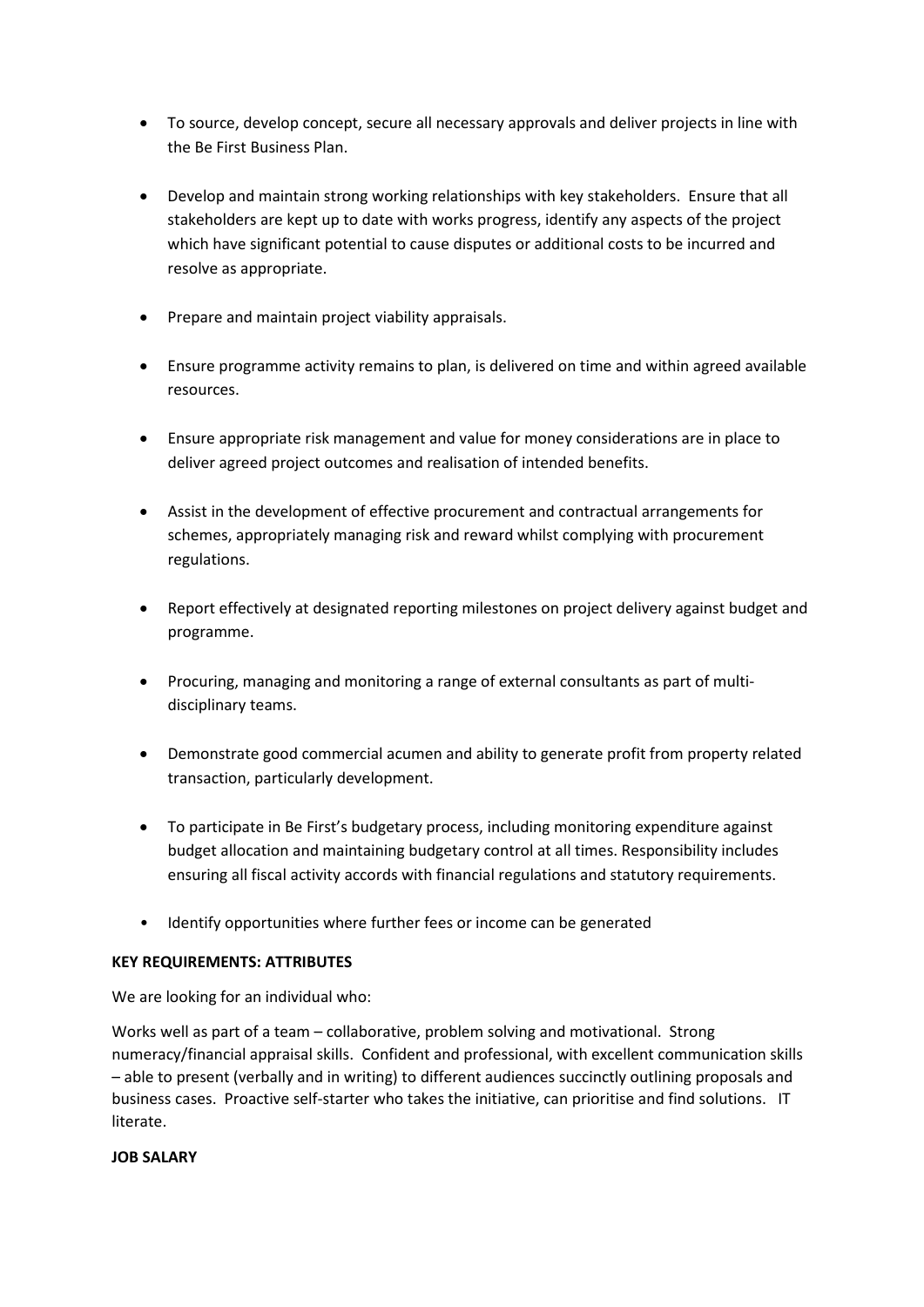- To source, develop concept, secure all necessary approvals and deliver projects in line with the Be First Business Plan.
- Develop and maintain strong working relationships with key stakeholders. Ensure that all stakeholders are kept up to date with works progress, identify any aspects of the project which have significant potential to cause disputes or additional costs to be incurred and resolve as appropriate.
- Prepare and maintain project viability appraisals.
- Ensure programme activity remains to plan, is delivered on time and within agreed available resources.
- Ensure appropriate risk management and value for money considerations are in place to deliver agreed project outcomes and realisation of intended benefits.
- Assist in the development of effective procurement and contractual arrangements for schemes, appropriately managing risk and reward whilst complying with procurement regulations.
- Report effectively at designated reporting milestones on project delivery against budget and programme.
- Procuring, managing and monitoring a range of external consultants as part of multidisciplinary teams.
- Demonstrate good commercial acumen and ability to generate profit from property related transaction, particularly development.
- To participate in Be First's budgetary process, including monitoring expenditure against budget allocation and maintaining budgetary control at all times. Responsibility includes ensuring all fiscal activity accords with financial regulations and statutory requirements.
- Identify opportunities where further fees or income can be generated

### **KEY REQUIREMENTS: ATTRIBUTES**

We are looking for an individual who:

Works well as part of a team – collaborative, problem solving and motivational. Strong numeracy/financial appraisal skills. Confident and professional, with excellent communication skills – able to present (verbally and in writing) to different audiences succinctly outlining proposals and business cases. Proactive self-starter who takes the initiative, can prioritise and find solutions. IT literate.

#### **JOB SALARY**